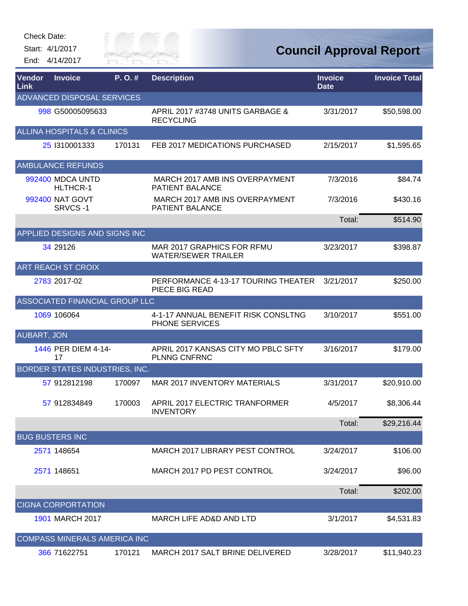Check Date:

Start: 4/1/2017 End: 4/14/2017



| Vendor<br>Link     | <b>Invoice</b>                        | P.O.#  | <b>Description</b>                                       | <b>Invoice</b><br><b>Date</b> | <b>Invoice Total</b> |
|--------------------|---------------------------------------|--------|----------------------------------------------------------|-------------------------------|----------------------|
|                    | ADVANCED DISPOSAL SERVICES            |        |                                                          |                               |                      |
|                    | 998 G50005095633                      |        | APRIL 2017 #3748 UNITS GARBAGE &<br><b>RECYCLING</b>     | 3/31/2017                     | \$50,598.00          |
|                    | <b>ALLINA HOSPITALS &amp; CLINICS</b> |        |                                                          |                               |                      |
|                    | 25 1310001333                         | 170131 | FEB 2017 MEDICATIONS PURCHASED                           | 2/15/2017                     | \$1,595.65           |
|                    | <b>AMBULANCE REFUNDS</b>              |        |                                                          |                               |                      |
|                    | 992400 MDCA UNTD<br>HLTHCR-1          |        | MARCH 2017 AMB INS OVERPAYMENT<br><b>PATIENT BALANCE</b> | 7/3/2016                      | \$84.74              |
|                    | 992400 NAT GOVT<br>SRVCS-1            |        | MARCH 2017 AMB INS OVERPAYMENT<br><b>PATIENT BALANCE</b> | 7/3/2016                      | \$430.16             |
|                    |                                       |        |                                                          | Total:                        | \$514.90             |
|                    | APPLIED DESIGNS AND SIGNS INC         |        |                                                          |                               |                      |
|                    | 34 29126                              |        | MAR 2017 GRAPHICS FOR RFMU<br><b>WATER/SEWER TRAILER</b> | 3/23/2017                     | \$398.87             |
|                    | <b>ART REACH ST CROIX</b>             |        |                                                          |                               |                      |
|                    | 2783 2017-02                          |        | PERFORMANCE 4-13-17 TOURING THEATER<br>PIECE BIG READ    | 3/21/2017                     | \$250.00             |
|                    | ASSOCIATED FINANCIAL GROUP LLC        |        |                                                          |                               |                      |
|                    | 1069 106064                           |        | 4-1-17 ANNUAL BENEFIT RISK CONSLTNG<br>PHONE SERVICES    | 3/10/2017                     | \$551.00             |
| <b>AUBART, JON</b> |                                       |        |                                                          |                               |                      |
|                    | 1446 PER DIEM 4-14-<br>17             |        | APRIL 2017 KANSAS CITY MO PBLC SFTY<br>PLNNG CNFRNC      | 3/16/2017                     | \$179.00             |
|                    | BORDER STATES INDUSTRIES, INC.        |        |                                                          |                               |                      |
|                    | 57 912812198                          | 170097 | <b>MAR 2017 INVENTORY MATERIALS</b>                      | 3/31/2017                     | \$20,910.00          |
|                    | 57 912834849                          | 170003 | APRIL 2017 ELECTRIC TRANFORMER<br><b>INVENTORY</b>       | 4/5/2017                      | \$8,306.44           |
|                    |                                       |        |                                                          | Total:                        | \$29,216.44          |
|                    | <b>BUG BUSTERS INC</b>                |        |                                                          |                               |                      |
|                    | 2571 148654                           |        | MARCH 2017 LIBRARY PEST CONTROL                          | 3/24/2017                     | \$106.00             |
|                    | 2571 148651                           |        | MARCH 2017 PD PEST CONTROL                               | 3/24/2017                     | \$96.00              |
|                    |                                       |        |                                                          | Total:                        | \$202.00             |
|                    | <b>CIGNA CORPORTATION</b>             |        |                                                          |                               |                      |
|                    | 1901 MARCH 2017                       |        | MARCH LIFE AD&D AND LTD                                  | 3/1/2017                      | \$4,531.83           |
|                    | COMPASS MINERALS AMERICA INC          |        |                                                          |                               |                      |
|                    | 366 71622751                          | 170121 | MARCH 2017 SALT BRINE DELIVERED                          | 3/28/2017                     | \$11,940.23          |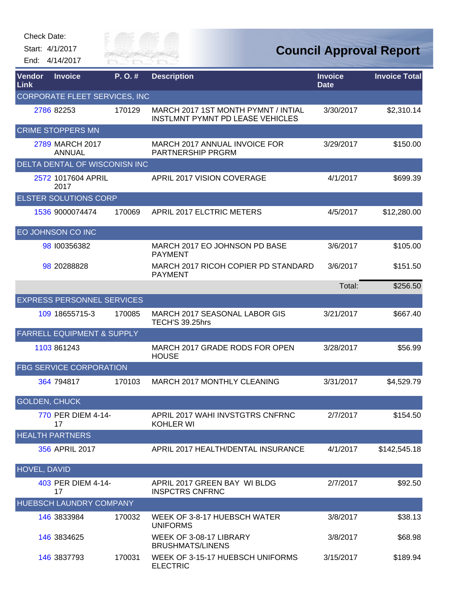| Check Date: |  |
|-------------|--|
|-------------|--|

Start: 4/1/2017 End: 4/14/2017



## **Council Approval Report**

| Vendor<br>Link       | <b>Invoice</b>                        | P.O.#  | <b>Description</b>                                                             | <b>Invoice</b><br><b>Date</b> | <b>Invoice Total</b> |
|----------------------|---------------------------------------|--------|--------------------------------------------------------------------------------|-------------------------------|----------------------|
|                      | CORPORATE FLEET SERVICES, INC         |        |                                                                                |                               |                      |
|                      | 2786 82253                            | 170129 | MARCH 2017 1ST MONTH PYMNT / INTIAL<br><b>INSTLMNT PYMNT PD LEASE VEHICLES</b> | 3/30/2017                     | \$2,310.14           |
|                      | <b>CRIME STOPPERS MN</b>              |        |                                                                                |                               |                      |
|                      | 2789 MARCH 2017<br><b>ANNUAL</b>      |        | MARCH 2017 ANNUAL INVOICE FOR<br><b>PARTNERSHIP PRGRM</b>                      | 3/29/2017                     | \$150.00             |
|                      | DELTA DENTAL OF WISCONISN INC         |        |                                                                                |                               |                      |
|                      | 2572 1017604 APRIL<br>2017            |        | APRIL 2017 VISION COVERAGE                                                     | 4/1/2017                      | \$699.39             |
|                      | <b>ELSTER SOLUTIONS CORP</b>          |        |                                                                                |                               |                      |
|                      | 1536 9000074474                       | 170069 | APRIL 2017 ELCTRIC METERS                                                      | 4/5/2017                      | \$12,280.00          |
|                      | EO JOHNSON CO INC                     |        |                                                                                |                               |                      |
|                      | 98 100356382                          |        | MARCH 2017 EO JOHNSON PD BASE<br><b>PAYMENT</b>                                | 3/6/2017                      | \$105.00             |
|                      | 98 20288828                           |        | MARCH 2017 RICOH COPIER PD STANDARD<br><b>PAYMENT</b>                          | 3/6/2017                      | \$151.50             |
|                      |                                       |        |                                                                                | Total:                        | \$256.50             |
|                      | <b>EXPRESS PERSONNEL SERVICES</b>     |        |                                                                                |                               |                      |
|                      | 109 18655715-3                        | 170085 | MARCH 2017 SEASONAL LABOR GIS<br>TECH'S 39.25hrs                               | 3/21/2017                     | \$667.40             |
|                      | <b>FARRELL EQUIPMENT &amp; SUPPLY</b> |        |                                                                                |                               |                      |
|                      | 1103 861243                           |        | MARCH 2017 GRADE RODS FOR OPEN<br><b>HOUSE</b>                                 | 3/28/2017                     | \$56.99              |
|                      | <b>FBG SERVICE CORPORATION</b>        |        |                                                                                |                               |                      |
|                      | 364 794817                            | 170103 | MARCH 2017 MONTHLY CLEANING                                                    | 3/31/2017                     | \$4,529.79           |
| <b>GOLDEN, CHUCK</b> |                                       |        |                                                                                |                               |                      |
|                      | 770 PER DIEM 4-14-<br>17              |        | APRIL 2017 WAHI INVSTGTRS CNFRNC<br><b>KOHLER WI</b>                           | 2/7/2017                      | \$154.50             |
|                      | <b>HEALTH PARTNERS</b>                |        |                                                                                |                               |                      |
|                      | 356 APRIL 2017                        |        | APRIL 2017 HEALTH/DENTAL INSURANCE                                             | 4/1/2017                      | \$142,545.18         |
| <b>HOVEL, DAVID</b>  |                                       |        |                                                                                |                               |                      |
|                      | 403 PER DIEM 4-14-<br>17              |        | APRIL 2017 GREEN BAY WI BLDG<br><b>INSPCTRS CNFRNC</b>                         | 2/7/2017                      | \$92.50              |
|                      | <b>HUEBSCH LAUNDRY COMPANY</b>        |        |                                                                                |                               |                      |
|                      | 146 3833984                           | 170032 | WEEK OF 3-8-17 HUEBSCH WATER<br><b>UNIFORMS</b>                                | 3/8/2017                      | \$38.13              |
|                      | 146 3834625                           |        | WEEK OF 3-08-17 LIBRARY<br><b>BRUSHMATS/LINENS</b>                             | 3/8/2017                      | \$68.98              |
|                      | 146 3837793                           | 170031 | WEEK OF 3-15-17 HUEBSCH UNIFORMS<br><b>ELECTRIC</b>                            | 3/15/2017                     | \$189.94             |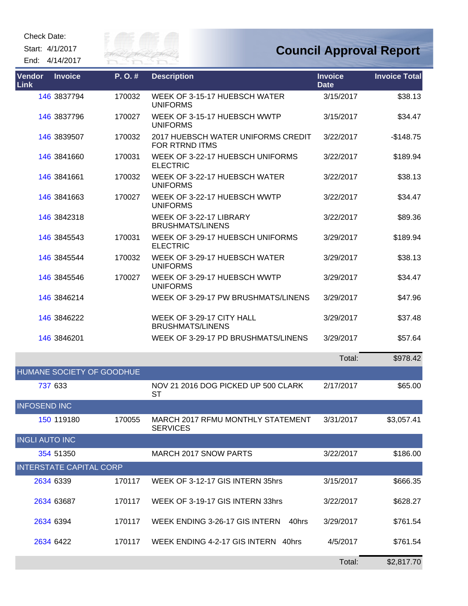Check Date:

Start: 4/1/2017

End: 4/14/2017



## **Council Approval Report**

| <b>Vendor</b><br><b>Link</b> | <b>Invoice</b>                 | P.O.#  | <b>Description</b>                                   | <b>Invoice</b><br><b>Date</b> | <b>Invoice Total</b> |
|------------------------------|--------------------------------|--------|------------------------------------------------------|-------------------------------|----------------------|
|                              | 146 3837794                    | 170032 | WEEK OF 3-15-17 HUEBSCH WATER<br><b>UNIFORMS</b>     | 3/15/2017                     | \$38.13              |
|                              | 146 3837796                    | 170027 | WEEK OF 3-15-17 HUEBSCH WWTP<br><b>UNIFORMS</b>      | 3/15/2017                     | \$34.47              |
|                              | 146 3839507                    | 170032 | 2017 HUEBSCH WATER UNIFORMS CREDIT<br>FOR RTRND ITMS | 3/22/2017                     | $-$148.75$           |
|                              | 146 3841660                    | 170031 | WEEK OF 3-22-17 HUEBSCH UNIFORMS<br><b>ELECTRIC</b>  | 3/22/2017                     | \$189.94             |
|                              | 146 3841661                    | 170032 | WEEK OF 3-22-17 HUEBSCH WATER<br><b>UNIFORMS</b>     | 3/22/2017                     | \$38.13              |
|                              | 146 3841663                    | 170027 | WEEK OF 3-22-17 HUEBSCH WWTP<br><b>UNIFORMS</b>      | 3/22/2017                     | \$34.47              |
|                              | 146 3842318                    |        | WEEK OF 3-22-17 LIBRARY<br><b>BRUSHMATS/LINENS</b>   | 3/22/2017                     | \$89.36              |
|                              | 146 3845543                    | 170031 | WEEK OF 3-29-17 HUEBSCH UNIFORMS<br><b>ELECTRIC</b>  | 3/29/2017                     | \$189.94             |
|                              | 146 3845544                    | 170032 | WEEK OF 3-29-17 HUEBSCH WATER<br><b>UNIFORMS</b>     | 3/29/2017                     | \$38.13              |
|                              | 146 3845546                    | 170027 | WEEK OF 3-29-17 HUEBSCH WWTP<br><b>UNIFORMS</b>      | 3/29/2017                     | \$34.47              |
|                              | 146 3846214                    |        | WEEK OF 3-29-17 PW BRUSHMATS/LINENS                  | 3/29/2017                     | \$47.96              |
|                              | 146 3846222                    |        | WEEK OF 3-29-17 CITY HALL<br><b>BRUSHMATS/LINENS</b> | 3/29/2017                     | \$37.48              |
|                              | 146 3846201                    |        | WEEK OF 3-29-17 PD BRUSHMATS/LINENS                  | 3/29/2017                     | \$57.64              |
|                              |                                |        |                                                      | Total:                        | \$978.42             |
|                              | HUMANE SOCIETY OF GOODHUE      |        |                                                      |                               |                      |
| 737 633                      |                                |        | NOV 21 2016 DOG PICKED UP 500 CLARK<br><b>ST</b>     | 2/17/2017                     | \$65.00              |
| <b>INFOSEND INC</b>          |                                |        |                                                      |                               |                      |
|                              | 150 119180                     | 170055 | MARCH 2017 RFMU MONTHLY STATEMENT<br><b>SERVICES</b> | 3/31/2017                     | \$3,057.41           |
| <b>INGLI AUTO INC</b>        |                                |        |                                                      |                               |                      |
|                              | 354 51350                      |        | <b>MARCH 2017 SNOW PARTS</b>                         | 3/22/2017                     | \$186.00             |
|                              | <b>INTERSTATE CAPITAL CORP</b> |        |                                                      |                               |                      |
| 2634 6339                    |                                | 170117 | WEEK OF 3-12-17 GIS INTERN 35hrs                     | 3/15/2017                     | \$666.35             |
|                              | 2634 63687                     | 170117 | WEEK OF 3-19-17 GIS INTERN 33hrs                     | 3/22/2017                     | \$628.27             |
| 2634 6394                    |                                | 170117 | WEEK ENDING 3-26-17 GIS INTERN<br>40hrs              | 3/29/2017                     | \$761.54             |
| 2634 6422                    |                                | 170117 | WEEK ENDING 4-2-17 GIS INTERN 40hrs                  | 4/5/2017                      | \$761.54             |

Total: \$2,817.70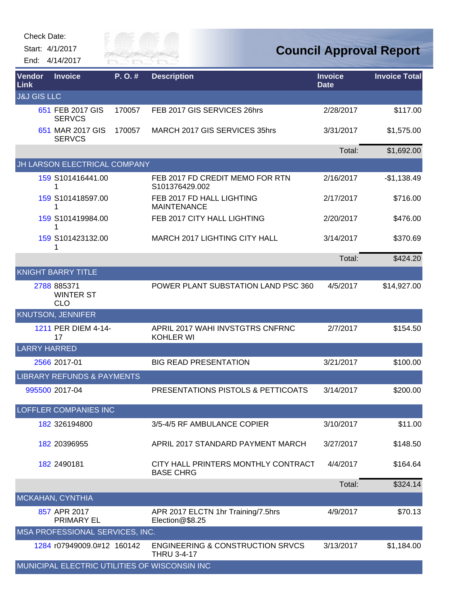| Check Date:                                        |         |                                                                   |                               |                                |
|----------------------------------------------------|---------|-------------------------------------------------------------------|-------------------------------|--------------------------------|
| Start: 4/1/2017<br>End: 4/14/2017                  | City of | VER FAI                                                           |                               | <b>Council Approval Report</b> |
| Vendor<br><b>Invoice</b><br><b>Link</b>            | P.O.#   | <b>Description</b>                                                | <b>Invoice</b><br><b>Date</b> | <b>Invoice Total</b>           |
| <b>J&amp;J GIS LLC</b><br>651 FEB 2017 GIS         | 170057  | FEB 2017 GIS SERVICES 26hrs                                       | 2/28/2017                     | \$117.00                       |
| <b>SERVCS</b><br>651 MAR 2017 GIS<br><b>SERVCS</b> | 170057  | MARCH 2017 GIS SERVICES 35hrs                                     | 3/31/2017                     | \$1,575.00                     |
|                                                    |         |                                                                   | Total:                        | \$1,692.00                     |
| JH LARSON ELECTRICAL COMPANY                       |         |                                                                   |                               |                                |
| 159 S101416441.00<br>1                             |         | FEB 2017 FD CREDIT MEMO FOR RTN<br>S101376429.002                 | 2/16/2017                     | $-$1,138.49$                   |
| 159 S101418597.00<br>1                             |         | FEB 2017 FD HALL LIGHTING<br><b>MAINTENANCE</b>                   | 2/17/2017                     | \$716.00                       |
| 159 S101419984.00                                  |         | FEB 2017 CITY HALL LIGHTING                                       | 2/20/2017                     | \$476.00                       |
| 159 S101423132.00                                  |         | MARCH 2017 LIGHTING CITY HALL                                     | 3/14/2017                     | \$370.69                       |
|                                                    |         |                                                                   | Total:                        | \$424.20                       |
| <b>KNIGHT BARRY TITLE</b>                          |         |                                                                   |                               |                                |
| 2788 885371<br><b>WINTER ST</b><br><b>CLO</b>      |         | POWER PLANT SUBSTATION LAND PSC 360                               | 4/5/2017                      | \$14,927.00                    |
| <b>KNUTSON, JENNIFER</b>                           |         |                                                                   |                               |                                |
| 1211 PER DIEM 4-14-<br>17                          |         | APRIL 2017 WAHI INVSTGTRS CNFRNC<br><b>KOHLER WI</b>              | 2/7/2017                      | \$154.50                       |
| <b>LARRY HARRED</b>                                |         |                                                                   |                               |                                |
| 2566 2017-01                                       |         | <b>BIG READ PRESENTATION</b>                                      | 3/21/2017                     | \$100.00                       |
| <b>LIBRARY REFUNDS &amp; PAYMENTS</b>              |         |                                                                   |                               |                                |
| 995500 2017-04                                     |         | PRESENTATIONS PISTOLS & PETTICOATS                                | 3/14/2017                     | \$200.00                       |
| <b>LOFFLER COMPANIES INC</b>                       |         |                                                                   |                               |                                |
| 182 326194800                                      |         | 3/5-4/5 RF AMBULANCE COPIER                                       | 3/10/2017                     | \$11.00                        |
| 182 20396955                                       |         | APRIL 2017 STANDARD PAYMENT MARCH                                 | 3/27/2017                     | \$148.50                       |
| 182 2490181                                        |         | CITY HALL PRINTERS MONTHLY CONTRACT<br><b>BASE CHRG</b>           | 4/4/2017                      | \$164.64                       |
|                                                    |         |                                                                   | Total:                        | \$324.14                       |
| MCKAHAN, CYNTHIA                                   |         |                                                                   |                               |                                |
| 857 APR 2017<br>PRIMARY EL                         |         | APR 2017 ELCTN 1hr Training/7.5hrs<br>Election@\$8.25             | 4/9/2017                      | \$70.13                        |
| MSA PROFESSIONAL SERVICES, INC.                    |         |                                                                   |                               |                                |
| 1284 r07949009.0#12 160142                         |         | <b>ENGINEERING &amp; CONSTRUCTION SRVCS</b><br><b>THRU 3-4-17</b> | 3/13/2017                     | \$1,184.00                     |
| MUNICIPAL ELECTRIC UTILITIES OF WISCONSIN INC      |         |                                                                   |                               |                                |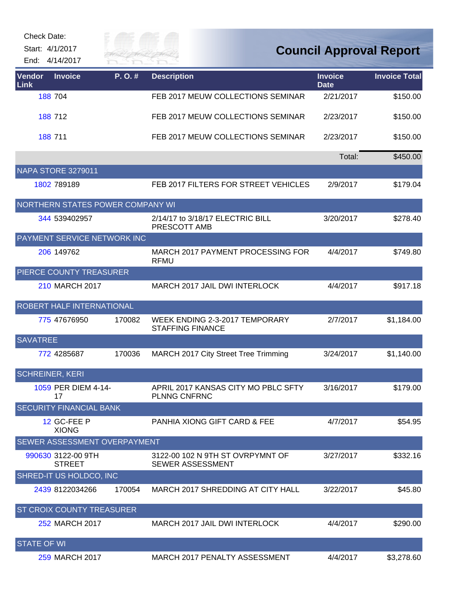| Check Date: |                 |
|-------------|-----------------|
|             | Start: 4/1/2017 |

End: 4/14/2017



## **Council Approval Report**

| Vendor<br>Link         | <b>Invoice</b>                      | P.O.#  | <b>Description</b>                                          | <b>Invoice</b><br><b>Date</b> | <b>Invoice Total</b> |
|------------------------|-------------------------------------|--------|-------------------------------------------------------------|-------------------------------|----------------------|
|                        | 188 704                             |        | FEB 2017 MEUW COLLECTIONS SEMINAR                           | 2/21/2017                     | \$150.00             |
|                        | 188 712                             |        | FEB 2017 MEUW COLLECTIONS SEMINAR                           | 2/23/2017                     | \$150.00             |
|                        | 188 711                             |        | FEB 2017 MEUW COLLECTIONS SEMINAR                           | 2/23/2017                     | \$150.00             |
|                        |                                     |        |                                                             | Total:                        | \$450.00             |
|                        | <b>NAPA STORE 3279011</b>           |        |                                                             |                               |                      |
|                        | 1802 789189                         |        | FEB 2017 FILTERS FOR STREET VEHICLES                        | 2/9/2017                      | \$179.04             |
|                        | NORTHERN STATES POWER COMPANY WI    |        |                                                             |                               |                      |
|                        | 344 539402957                       |        | 2/14/17 to 3/18/17 ELECTRIC BILL<br>PRESCOTT AMB            | 3/20/2017                     | \$278.40             |
|                        | PAYMENT SERVICE NETWORK INC         |        |                                                             |                               |                      |
|                        | 206 149762                          |        | MARCH 2017 PAYMENT PROCESSING FOR<br><b>RFMU</b>            | 4/4/2017                      | \$749.80             |
|                        | PIERCE COUNTY TREASURER             |        |                                                             |                               |                      |
|                        | 210 MARCH 2017                      |        | MARCH 2017 JAIL DWI INTERLOCK                               | 4/4/2017                      | \$917.18             |
|                        | ROBERT HALF INTERNATIONAL           |        |                                                             |                               |                      |
|                        | 775 47676950                        | 170082 | WEEK ENDING 2-3-2017 TEMPORARY<br><b>STAFFING FINANCE</b>   | 2/7/2017                      | \$1,184.00           |
| <b>SAVATREE</b>        |                                     |        |                                                             |                               |                      |
|                        | 772 4285687                         | 170036 | MARCH 2017 City Street Tree Trimming                        | 3/24/2017                     | \$1,140.00           |
| <b>SCHREINER, KERI</b> |                                     |        |                                                             |                               |                      |
|                        | 1059 PER DIEM 4-14-<br>17           |        | APRIL 2017 KANSAS CITY MO PBLC SFTY<br><b>PLNNG CNFRNC</b>  | 3/16/2017                     | \$179.00             |
|                        | <b>SECURITY FINANCIAL BANK</b>      |        |                                                             |                               |                      |
|                        | 12 GC-FEE P<br><b>XIONG</b>         |        | <b>PANHIA XIONG GIFT CARD &amp; FEE</b>                     | 4/7/2017                      | \$54.95              |
|                        | SEWER ASSESSMENT OVERPAYMENT        |        |                                                             |                               |                      |
|                        | 990630 3122-00 9TH<br><b>STREET</b> |        | 3122-00 102 N 9TH ST OVRPYMNT OF<br><b>SEWER ASSESSMENT</b> | 3/27/2017                     | \$332.16             |
|                        | SHRED-IT US HOLDCO, INC             |        |                                                             |                               |                      |
|                        | 2439 8122034266                     | 170054 | MARCH 2017 SHREDDING AT CITY HALL                           | 3/22/2017                     | \$45.80              |
|                        | ST CROIX COUNTY TREASURER           |        |                                                             |                               |                      |
|                        | 252 MARCH 2017                      |        | MARCH 2017 JAIL DWI INTERLOCK                               | 4/4/2017                      | \$290.00             |
| <b>STATE OF WI</b>     |                                     |        |                                                             |                               |                      |
|                        | 259 MARCH 2017                      |        | MARCH 2017 PENALTY ASSESSMENT                               | 4/4/2017                      | \$3,278.60           |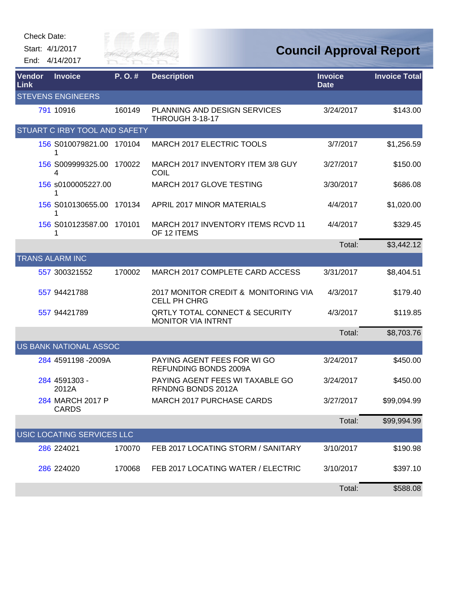| <b>Check Date:</b> |                                   |                        |                                                                        |                               |                                |
|--------------------|-----------------------------------|------------------------|------------------------------------------------------------------------|-------------------------------|--------------------------------|
|                    | Start: 4/1/2017<br>End: 4/14/2017 | City of p<br>RIVER FAI |                                                                        |                               | <b>Council Approval Report</b> |
| Vendor<br>Link     | <b>Invoice</b>                    | P.O.#                  | <b>Description</b>                                                     | <b>Invoice</b><br><b>Date</b> | <b>Invoice Total</b>           |
|                    | <b>STEVENS ENGINEERS</b>          |                        |                                                                        |                               |                                |
|                    | 791 10916                         | 160149                 | <b>PLANNING AND DESIGN SERVICES</b><br>THROUGH 3-18-17                 | 3/24/2017                     | \$143.00                       |
|                    | STUART C IRBY TOOL AND SAFETY     |                        |                                                                        |                               |                                |
|                    | 156 S010079821.00 170104<br>1     |                        | MARCH 2017 ELECTRIC TOOLS                                              | 3/7/2017                      | \$1,256.59                     |
|                    | 156 S009999325.00 170022<br>4     |                        | MARCH 2017 INVENTORY ITEM 3/8 GUY<br>COIL                              | 3/27/2017                     | \$150.00                       |
|                    | 156 s0100005227.00<br>1           |                        | MARCH 2017 GLOVE TESTING                                               | 3/30/2017                     | \$686.08                       |
|                    | 156 S010130655.00<br>1            | 170134                 | <b>APRIL 2017 MINOR MATERIALS</b>                                      | 4/4/2017                      | \$1,020.00                     |
|                    | 156 S010123587.00<br>1            | 170101                 | MARCH 2017 INVENTORY ITEMS RCVD 11<br>OF 12 ITEMS                      | 4/4/2017                      | \$329.45                       |
|                    |                                   |                        |                                                                        | Total:                        | \$3,442.12                     |
|                    | <b>TRANS ALARM INC</b>            |                        |                                                                        |                               |                                |
|                    | 557 300321552                     | 170002                 | MARCH 2017 COMPLETE CARD ACCESS                                        | 3/31/2017                     | \$8,404.51                     |
|                    | 557 94421788                      |                        | 2017 MONITOR CREDIT & MONITORING VIA<br><b>CELL PH CHRG</b>            | 4/3/2017                      | \$179.40                       |
|                    | 557 94421789                      |                        | <b>QRTLY TOTAL CONNECT &amp; SECURITY</b><br><b>MONITOR VIA INTRNT</b> | 4/3/2017                      | \$119.85                       |
|                    |                                   |                        |                                                                        | Total:                        | \$8,703.76                     |
|                    | US BANK NATIONAL ASSOC            |                        |                                                                        |                               |                                |
|                    | 284 4591198 -2009A                |                        | PAYING AGENT FEES FOR WI GO<br>REFUNDING BONDS 2009A                   | 3/24/2017                     | \$450.00                       |
|                    | 284 4591303 -<br>2012A            |                        | PAYING AGENT FEES WI TAXABLE GO<br>RFNDNG BONDS 2012A                  | 3/24/2017                     | \$450.00                       |
|                    | 284 MARCH 2017 P<br><b>CARDS</b>  |                        | <b>MARCH 2017 PURCHASE CARDS</b>                                       | 3/27/2017                     | \$99,094.99                    |
|                    |                                   |                        |                                                                        | Total:                        | \$99,994.99                    |
|                    | USIC LOCATING SERVICES LLC        |                        |                                                                        |                               |                                |
|                    | 286 224021                        | 170070                 | FEB 2017 LOCATING STORM / SANITARY                                     | 3/10/2017                     | \$190.98                       |
|                    | 286 224020                        | 170068                 | FEB 2017 LOCATING WATER / ELECTRIC                                     | 3/10/2017                     | \$397.10                       |
|                    |                                   |                        |                                                                        | Total:                        | \$588.08                       |